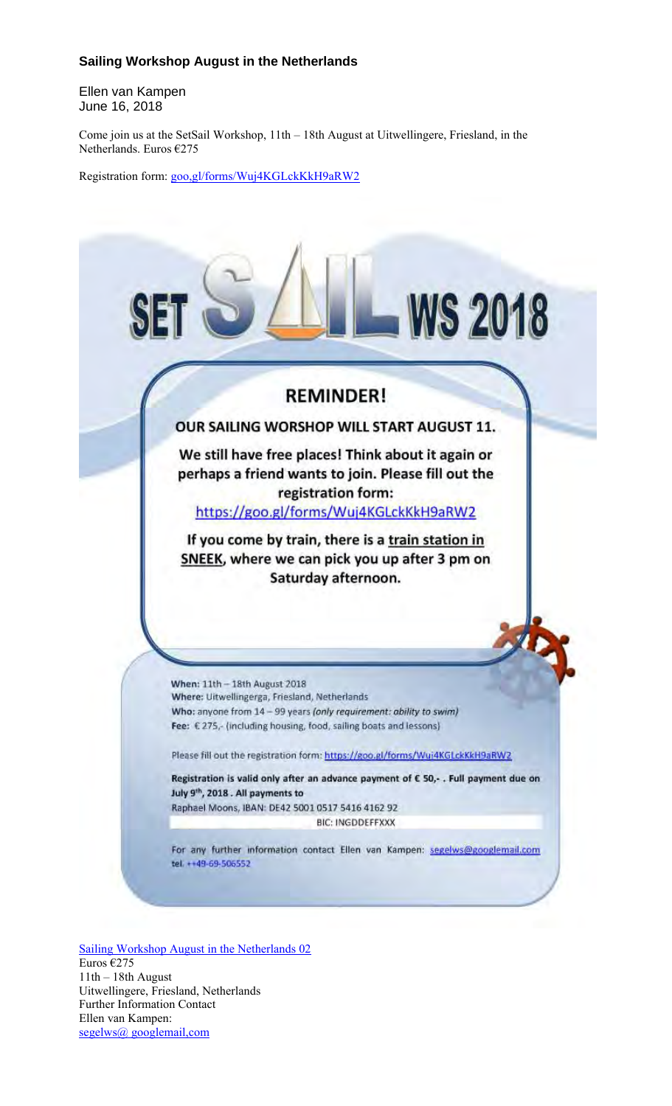## **Sailing Workshop August in the Netherlands**

Ellen van Kampen June 16, 2018

Come join us at the SetSail Workshop, 11th – 18th August at Uitwellingere, Friesland, in the Netherlands. Euros €275

Registration form: goo,gl/forms/Wuj4KGLckKkH9aRW2



Sailing Workshop August in the Netherlands 02 Euros €275 11th – 18th August Uitwellingere, Friesland, Netherlands Further Information Contact Ellen van Kampen: segelws@ googlemail,com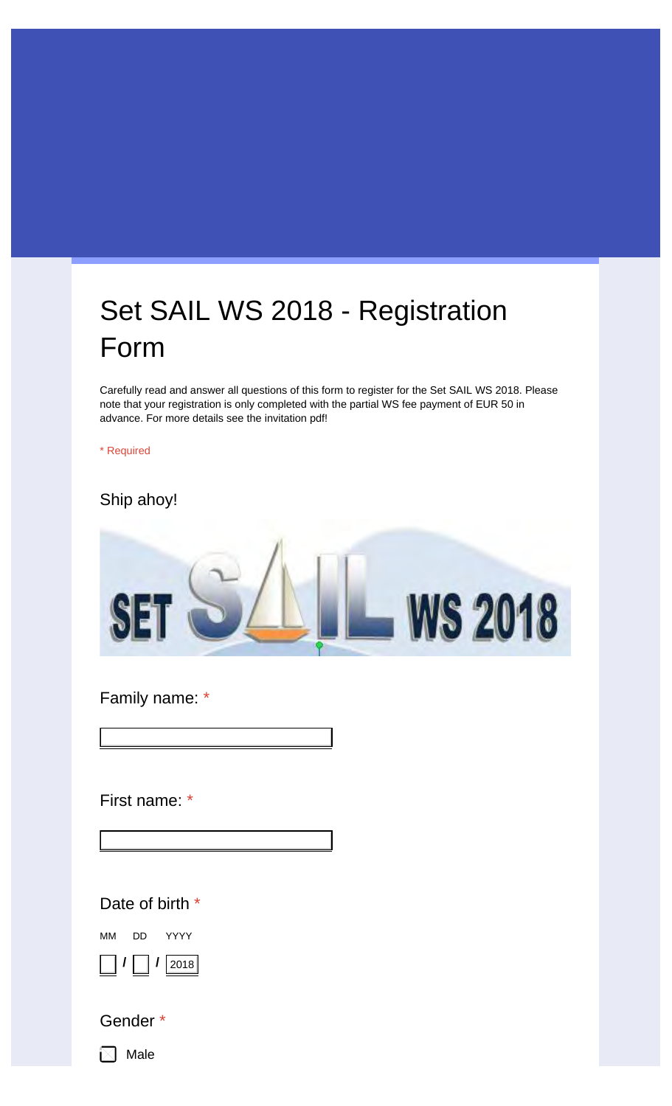## Set SAIL WS 2018 - Registration Form

Carefully read and answer all questions of this form to register for the Set SAIL WS 2018. Please note that your registration is only completed with the partial WS fee payment of EUR 50 in advance. For more details see the invitation pdf!

\* Required

Ship ahoy!



Family name: \*

First name: \*

Your answer

Your answer

Date of birth \*

MM **/** DD **/** YYYY 2018

Gender \*

 $\boxtimes$  Male